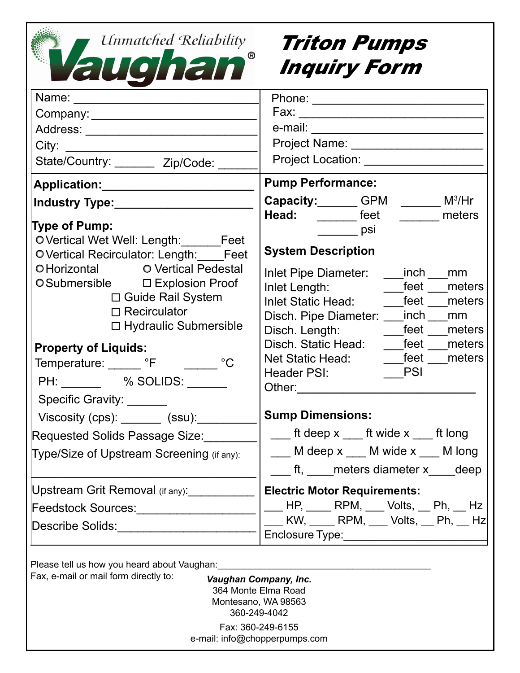| Unmatched Reliability<br>Vaughan                                                                                                                                                                                                                                                                                                                                                                                                                                                    | <b>Triton Pumps</b><br><b>Inquiry Form</b>                                                                                                                                                                                                                                                                                                                                                                                                                                                                                                                                          |
|-------------------------------------------------------------------------------------------------------------------------------------------------------------------------------------------------------------------------------------------------------------------------------------------------------------------------------------------------------------------------------------------------------------------------------------------------------------------------------------|-------------------------------------------------------------------------------------------------------------------------------------------------------------------------------------------------------------------------------------------------------------------------------------------------------------------------------------------------------------------------------------------------------------------------------------------------------------------------------------------------------------------------------------------------------------------------------------|
|                                                                                                                                                                                                                                                                                                                                                                                                                                                                                     |                                                                                                                                                                                                                                                                                                                                                                                                                                                                                                                                                                                     |
| Address: _________________________                                                                                                                                                                                                                                                                                                                                                                                                                                                  |                                                                                                                                                                                                                                                                                                                                                                                                                                                                                                                                                                                     |
|                                                                                                                                                                                                                                                                                                                                                                                                                                                                                     |                                                                                                                                                                                                                                                                                                                                                                                                                                                                                                                                                                                     |
| State/Country: ________ Zip/Code:                                                                                                                                                                                                                                                                                                                                                                                                                                                   | Project Location: Network                                                                                                                                                                                                                                                                                                                                                                                                                                                                                                                                                           |
| Application: _____________________                                                                                                                                                                                                                                                                                                                                                                                                                                                  | <b>Pump Performance:</b>                                                                                                                                                                                                                                                                                                                                                                                                                                                                                                                                                            |
|                                                                                                                                                                                                                                                                                                                                                                                                                                                                                     | <b>Capacity:</b> GPM $\_\_\_\_$ M <sup>3</sup> /Hr                                                                                                                                                                                                                                                                                                                                                                                                                                                                                                                                  |
| <b>Type of Pump:</b><br>OVertical Wet Well: Length: Feet<br>O Vertical Recirculator: Length: Feet<br>OHorizontal OVertical Pedestal<br>O Submersible □ Explosion Proof<br>□ Guide Rail System<br>$\Box$ Recirculator<br>□ Hydraulic Submersible<br><b>Property of Liquids:</b><br>Temperature: F C<br>PH: ________ % SOLIDS: _____<br>Specific Gravity: _____<br>Viscosity (cps): _______ (ssu):____<br>Requested Solids Passage Size:<br>Type/Size of Upstream Screening (if any): | Head: Feet The meters<br>$\rule{1em}{0.15mm}$ psi<br><b>System Description</b><br>Inlet Pipe Diameter: ____inch __<br>mm<br>feet<br>Inlet Length:<br>meters<br>Inlet Static Head: feet<br>meters<br>Disch. Pipe Diameter: ___inch __<br>mm<br><b>Example 1</b> Freet meters<br>Disch. Length:<br>feet<br>Disch. Static Head:<br>meters<br>feet<br>meters<br>Net Static Head:<br><b>PSI</b><br>Header PSI:<br>Other:<br><b>Sump Dimensions:</b><br>$\frac{1}{\sqrt{1-x}}$ ft deep x $\frac{1}{\sqrt{1-x}}$ ft long<br>M deep x ___ M wide x ___ M long<br>ft, meters diameter x deep |
| Upstream Grit Removal (if any):                                                                                                                                                                                                                                                                                                                                                                                                                                                     | <b>Electric Motor Requirements:</b>                                                                                                                                                                                                                                                                                                                                                                                                                                                                                                                                                 |
| Feedstock Sources:______________                                                                                                                                                                                                                                                                                                                                                                                                                                                    | $HP, \underline{\hspace{1cm}}$ RPM, $\underline{\hspace{1cm}}$ Volts, $\underline{\hspace{1cm}}$ Ph, $\underline{\hspace{1cm}}$ Hz $\vert$<br>KW, _____ RPM, ____ Volts, ___ Ph, ___ Hz                                                                                                                                                                                                                                                                                                                                                                                             |
| Describe Solids: Describe Solids:                                                                                                                                                                                                                                                                                                                                                                                                                                                   |                                                                                                                                                                                                                                                                                                                                                                                                                                                                                                                                                                                     |
| Please tell us how you heard about Vaughan:<br>Fax, e-mail or mail form directly to:<br>Vaughan Company, Inc.<br>364 Monte Elma Road<br>Montesano, WA 98563<br>360-249-4042<br>Fax: 360-249-6155<br>e-mail: info@chopperpumps.com                                                                                                                                                                                                                                                   |                                                                                                                                                                                                                                                                                                                                                                                                                                                                                                                                                                                     |